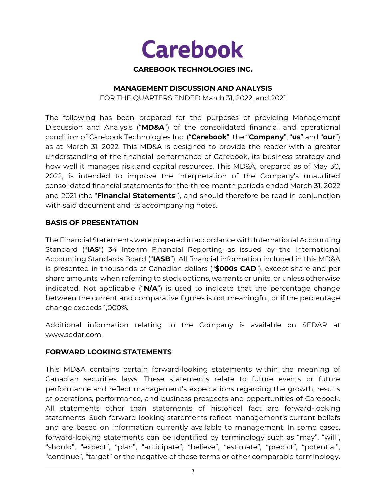

#### **CAREBOOK TECHNOLOGIES INC.**

#### **MANAGEMENT DISCUSSION AND ANALYSIS**

FOR THE QUARTERS ENDED March 31, 2022, and 2021

The following has been prepared for the purposes of providing Management Discussion and Analysis ("**MD&A**") of the consolidated financial and operational condition of Carebook Technologies Inc. ("**Carebook**", the "**Company**", "**us**" and "**our**") as at March 31, 2022. This MD&A is designed to provide the reader with a greater understanding of the financial performance of Carebook, its business strategy and how well it manages risk and capital resources. This MD&A, prepared as of May 30, 2022, is intended to improve the interpretation of the Company's unaudited consolidated financial statements for the three-month periods ended March 31, 2022 and 2021 (the "**Financial Statements**"), and should therefore be read in conjunction with said document and its accompanying notes.

#### **BASIS OF PRESENTATION**

The Financial Statements were prepared in accordance with International Accounting Standard ("**IAS**") 34 Interim Financial Reporting as issued by the International Accounting Standards Board ("**IASB**"). All financial information included in this MD&A is presented in thousands of Canadian dollars ("**\$000s CAD**"), except share and per share amounts, when referring to stock options, warrants or units, or unless otherwise indicated. Not applicable ("**N/A**") is used to indicate that the percentage change between the current and comparative figures is not meaningful, or if the percentage change exceeds 1,000%.

Additional information relating to the Company is available on SEDAR at [www.sedar.com.](http://www.sedar.com/)

#### **FORWARD LOOKING STATEMENTS**

This MD&A contains certain forward-looking statements within the meaning of Canadian securities laws. These statements relate to future events or future performance and reflect management's expectations regarding the growth, results of operations, performance, and business prospects and opportunities of Carebook. All statements other than statements of historical fact are forward-looking statements. Such forward-looking statements reflect management's current beliefs and are based on information currently available to management. In some cases, forward-looking statements can be identified by terminology such as "may", "will", "should", "expect", "plan", "anticipate", "believe", "estimate", "predict", "potential", "continue", "target" or the negative of these terms or other comparable terminology.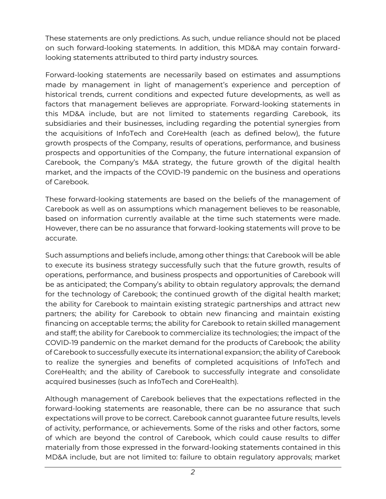These statements are only predictions. As such, undue reliance should not be placed on such forward-looking statements. In addition, this MD&A may contain forwardlooking statements attributed to third party industry sources.

Forward-looking statements are necessarily based on estimates and assumptions made by management in light of management's experience and perception of historical trends, current conditions and expected future developments, as well as factors that management believes are appropriate. Forward-looking statements in this MD&A include, but are not limited to statements regarding Carebook, its subsidiaries and their businesses, including regarding the potential synergies from the acquisitions of InfoTech and CoreHealth (each as defined below), the future growth prospects of the Company, results of operations, performance, and business prospects and opportunities of the Company, the future international expansion of Carebook, the Company's M&A strategy, the future growth of the digital health market, and the impacts of the COVID-19 pandemic on the business and operations of Carebook.

These forward-looking statements are based on the beliefs of the management of Carebook as well as on assumptions which management believes to be reasonable, based on information currently available at the time such statements were made. However, there can be no assurance that forward-looking statements will prove to be accurate.

Such assumptions and beliefs include, among other things: that Carebook will be able to execute its business strategy successfully such that the future growth, results of operations, performance, and business prospects and opportunities of Carebook will be as anticipated; the Company's ability to obtain regulatory approvals; the demand for the technology of Carebook; the continued growth of the digital health market; the ability for Carebook to maintain existing strategic partnerships and attract new partners; the ability for Carebook to obtain new financing and maintain existing financing on acceptable terms; the ability for Carebook to retain skilled management and staff; the ability for Carebook to commercialize its technologies; the impact of the COVID-19 pandemic on the market demand for the products of Carebook; the ability of Carebook to successfully execute its international expansion; the ability of Carebook to realize the synergies and benefits of completed acquisitions of InfoTech and CoreHealth; and the ability of Carebook to successfully integrate and consolidate acquired businesses (such as InfoTech and CoreHealth).

Although management of Carebook believes that the expectations reflected in the forward-looking statements are reasonable, there can be no assurance that such expectations will prove to be correct. Carebook cannot guarantee future results, levels of activity, performance, or achievements. Some of the risks and other factors, some of which are beyond the control of Carebook, which could cause results to differ materially from those expressed in the forward-looking statements contained in this MD&A include, but are not limited to: failure to obtain regulatory approvals; market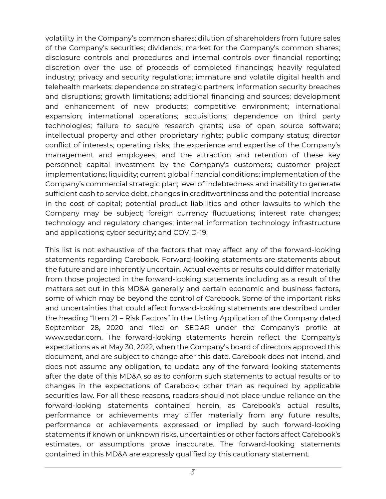volatility in the Company's common shares; dilution of shareholders from future sales of the Company's securities; dividends; market for the Company's common shares; disclosure controls and procedures and internal controls over financial reporting; discretion over the use of proceeds of completed financings; heavily regulated industry; privacy and security regulations; immature and volatile digital health and telehealth markets; dependence on strategic partners; information security breaches and disruptions; growth limitations; additional financing and sources; development and enhancement of new products; competitive environment; international expansion; international operations; acquisitions; dependence on third party technologies; failure to secure research grants; use of open source software; intellectual property and other proprietary rights; public company status; director conflict of interests; operating risks; the experience and expertise of the Company's management and employees, and the attraction and retention of these key personnel; capital investment by the Company's customers; customer project implementations; liquidity; current global financial conditions; implementation of the Company's commercial strategic plan; level of indebtedness and inability to generate sufficient cash to service debt, changes in creditworthiness and the potential increase in the cost of capital; potential product liabilities and other lawsuits to which the Company may be subject; foreign currency fluctuations; interest rate changes; technology and regulatory changes; internal information technology infrastructure and applications; cyber security; and COVID-19.

This list is not exhaustive of the factors that may affect any of the forward-looking statements regarding Carebook. Forward-looking statements are statements about the future and are inherently uncertain. Actual events or results could differ materially from those projected in the forward-looking statements including as a result of the matters set out in this MD&A generally and certain economic and business factors, some of which may be beyond the control of Carebook. Some of the important risks and uncertainties that could affect forward-looking statements are described under the heading "Item 21 – Risk Factors" in the Listing Application of the Company dated September 28, 2020 and filed on SEDAR under the Company's profile at www.sedar.com. The forward-looking statements herein reflect the Company's expectations as at May 30, 2022, when the Company's board of directors approved this document, and are subject to change after this date. Carebook does not intend, and does not assume any obligation, to update any of the forward-looking statements after the date of this MD&A so as to conform such statements to actual results or to changes in the expectations of Carebook, other than as required by applicable securities law. For all these reasons, readers should not place undue reliance on the forward-looking statements contained herein, as Carebook's actual results, performance or achievements may differ materially from any future results, performance or achievements expressed or implied by such forward-looking statements if known or unknown risks, uncertainties or other factors affect Carebook's estimates, or assumptions prove inaccurate. The forward-looking statements contained in this MD&A are expressly qualified by this cautionary statement.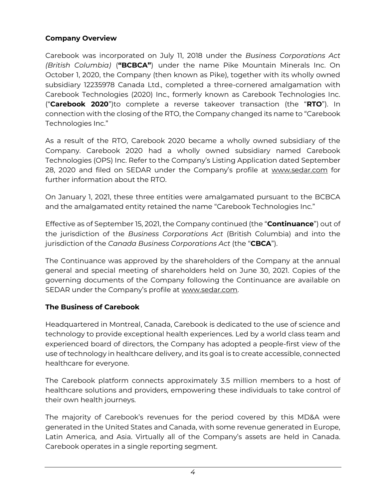## **Company Overview**

Carebook was incorporated on July 11, 2018 under the *Business Corporations Act (British Columbia)* (**"BCBCA"**) under the name Pike Mountain Minerals Inc. On October 1, 2020, the Company (then known as Pike), together with its wholly owned subsidiary 12235978 Canada Ltd., completed a three-cornered amalgamation with Carebook Technologies (2020) Inc., formerly known as Carebook Technologies Inc. ("**Carebook 2020**")to complete a reverse takeover transaction (the "**RTO**"). In connection with the closing of the RTO, the Company changed its name to "Carebook Technologies Inc."

As a result of the RTO, Carebook 2020 became a wholly owned subsidiary of the Company. Carebook 2020 had a wholly owned subsidiary named Carebook Technologies (OPS) Inc. Refer to the Company's Listing Application dated September 28, 2020 and filed on SEDAR under the Company's profile at [www.sedar.com](http://www.sedar.come/) for further information about the RTO.

On January 1, 2021, these three entities were amalgamated pursuant to the BCBCA and the amalgamated entity retained the name "Carebook Technologies Inc."

Effective as of September 15, 2021, the Company continued (the "**Continuance**") out of the jurisdiction of the *Business Corporations Act* (British Columbia) and into the jurisdiction of the *Canada Business Corporations Act* (the "**CBCA**").

The Continuance was approved by the shareholders of the Company at the annual general and special meeting of shareholders held on June 30, 2021. Copies of the governing documents of the Company following the Continuance are available on SEDAR under the Company's profile at [www.sedar.com.](http://www.sedar.com/)

## **The Business of Carebook**

Headquartered in Montreal, Canada, Carebook is dedicated to the use of science and technology to provide exceptional health experiences. Led by a world class team and experienced board of directors, the Company has adopted a people-first view of the use of technology in healthcare delivery, and its goal is to create accessible, connected healthcare for everyone.

The Carebook platform connects approximately 3.5 million members to a host of healthcare solutions and providers, empowering these individuals to take control of their own health journeys.

The majority of Carebook's revenues for the period covered by this MD&A were generated in the United States and Canada, with some revenue generated in Europe, Latin America, and Asia. Virtually all of the Company's assets are held in Canada. Carebook operates in a single reporting segment.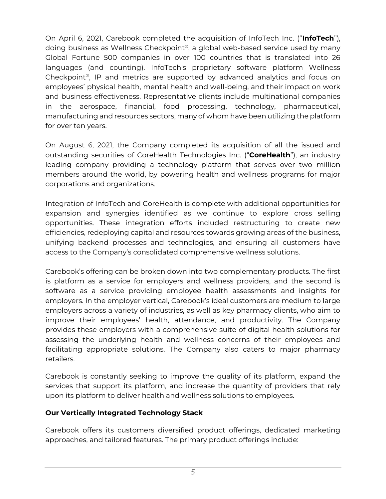On April 6, 2021, Carebook completed the acquisition of InfoTech Inc. ("**InfoTech**"), doing business as Wellness Checkpoint® , a global web-based service used by many Global Fortune 500 companies in over 100 countries that is translated into 26 languages (and counting). InfoTech's proprietary software platform Wellness Checkpoint® , IP and metrics are supported by advanced analytics and focus on employees' physical health, mental health and well-being, and their impact on work and business effectiveness. Representative clients include multinational companies in the aerospace, financial, food processing, technology, pharmaceutical, manufacturing and resources sectors, many of whom have been utilizing the platform for over ten years.

On August 6, 2021, the Company completed its acquisition of all the issued and outstanding securities of CoreHealth Technologies Inc. ("**CoreHealth**"), an industry leading company providing a technology platform that serves over two million members around the world, by powering health and wellness programs for major corporations and organizations.

Integration of InfoTech and CoreHealth is complete with additional opportunities for expansion and synergies identified as we continue to explore cross selling opportunities. These integration efforts included restructuring to create new efficiencies, redeploying capital and resources towards growing areas of the business, unifying backend processes and technologies, and ensuring all customers have access to the Company's consolidated comprehensive wellness solutions.

Carebook's offering can be broken down into two complementary products. The first is platform as a service for employers and wellness providers, and the second is software as a service providing employee health assessments and insights for employers. In the employer vertical, Carebook's ideal customers are medium to large employers across a variety of industries, as well as key pharmacy clients, who aim to improve their employees' health, attendance, and productivity. The Company provides these employers with a comprehensive suite of digital health solutions for assessing the underlying health and wellness concerns of their employees and facilitating appropriate solutions. The Company also caters to major pharmacy retailers.

Carebook is constantly seeking to improve the quality of its platform, expand the services that support its platform, and increase the quantity of providers that rely upon its platform to deliver health and wellness solutions to employees.

## **Our Vertically Integrated Technology Stack**

Carebook offers its customers diversified product offerings, dedicated marketing approaches, and tailored features. The primary product offerings include: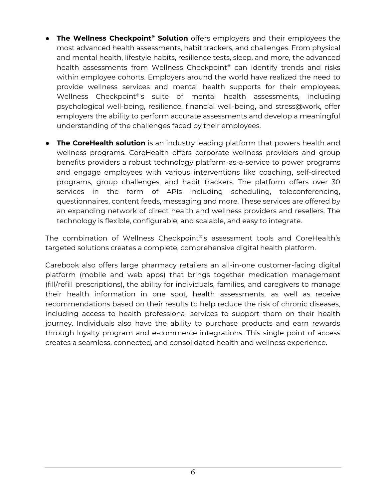- **The Wellness Checkpoint® Solution** offers employers and their employees the most advanced health assessments, habit trackers, and challenges. From physical and mental health, lifestyle habits, resilience tests, sleep, and more, the advanced health assessments from Wellness Checkpoint® can identify trends and risks within employee cohorts. Employers around the world have realized the need to provide wellness services and mental health supports for their employees. Wellness Checkpoint®'s suite of mental health assessments, including psychological well-being, resilience, financial well-being, and stress@work, offer employers the ability to perform accurate assessments and develop a meaningful understanding of the challenges faced by their employees.
- **The CoreHealth solution** is an industry leading platform that powers health and wellness programs. CoreHealth offers corporate wellness providers and group benefits providers a robust technology platform-as-a-service to power programs and engage employees with various interventions like coaching, self-directed programs, group challenges, and habit trackers. The platform offers over 30 services in the form of APIs including scheduling, teleconferencing, questionnaires, content feeds, messaging and more. These services are offered by an expanding network of direct health and wellness providers and resellers. The technology is flexible, configurable, and scalable, and easy to integrate.

The combination of Wellness Checkpoint® 's assessment tools and CoreHealth's targeted solutions creates a complete, comprehensive digital health platform.

Carebook also offers large pharmacy retailers an all-in-one customer-facing digital platform (mobile and web apps) that brings together medication management (fill/refill prescriptions), the ability for individuals, families, and caregivers to manage their health information in one spot, health assessments, as well as receive recommendations based on their results to help reduce the risk of chronic diseases, including access to health professional services to support them on their health journey. Individuals also have the ability to purchase products and earn rewards through loyalty program and e-commerce integrations. This single point of access creates a seamless, connected, and consolidated health and wellness experience.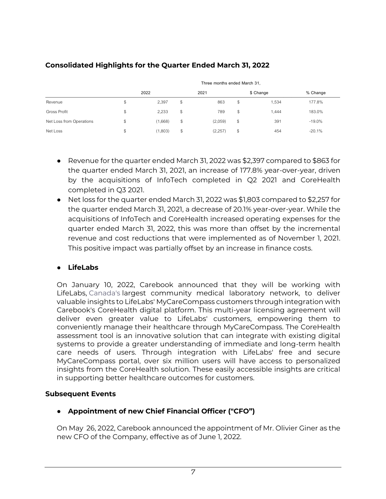|                          | Three months ended March 31, |         |               |         |    |           |          |  |  |  |
|--------------------------|------------------------------|---------|---------------|---------|----|-----------|----------|--|--|--|
|                          |                              | 2022    |               | 2021    |    | \$ Change | % Change |  |  |  |
| Revenue                  | \$                           | 2,397   | \$            | 863     | \$ | 1,534     | 177.8%   |  |  |  |
| Gross Profit             | \$                           | 2,233   | \$            | 789     | S  | 1.444     | 183.0%   |  |  |  |
| Net Loss from Operations | \$                           | (1,668) | \$            | (2,059) | \$ | 391       | $-19.0%$ |  |  |  |
| Net Loss                 | \$                           | (1,803) | $\mathcal{S}$ | (2,257) | \$ | 454       | $-20.1%$ |  |  |  |

### **Consolidated Highlights for the Quarter Ended March 31, 2022**

- Revenue for the quarter ended March 31, 2022 was \$2,397 compared to \$863 for the quarter ended March 31, 2021, an increase of 177.8% year-over-year, driven by the acquisitions of InfoTech completed in Q2 2021 and CoreHealth completed in Q3 2021.
- Net loss for the quarter ended March 31, 2022 was \$1,803 compared to \$2,257 for the quarter ended March 31, 2021, a decrease of 20.1% year-over-year. While the acquisitions of InfoTech and CoreHealth increased operating expenses for the quarter ended March 31, 2022, this was more than offset by the incremental revenue and cost reductions that were implemented as of November 1, 2021. This positive impact was partially offset by an increase in finance costs.

## ● **LifeLabs**

On January 10, 2022, Carebook announced that they will be working with LifeLabs, Canada's largest community medical laboratory network, to deliver valuable insights to LifeLabs' MyCareCompass customers through integration with Carebook's CoreHealth digital platform. This multi-year licensing agreement will deliver even greater value to LifeLabs' customers, empowering them to conveniently manage their healthcare through MyCareCompass. The CoreHealth assessment tool is an innovative solution that can integrate with existing digital systems to provide a greater understanding of immediate and long-term health care needs of users. Through integration with LifeLabs' free and secure MyCareCompass portal, over six million users will have access to personalized insights from the CoreHealth solution. These easily accessible insights are critical in supporting better healthcare outcomes for customers.

## **Subsequent Events**

## ● **Appointment of new Chief Financial Officer ("CFO")**

On May 26, 2022, Carebook announced the appointment of Mr. Olivier Giner as the new CFO of the Company, effective as of June 1, 2022.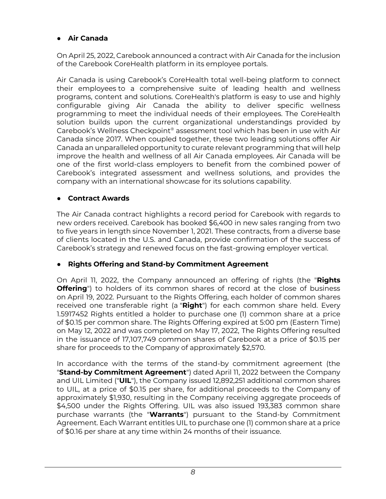# ● **Air Canada**

On April 25, 2022, Carebook announced a contract with Air Canada for the inclusion of the Carebook CoreHealth platform in its employee portals.

Air Canada is using Carebook's CoreHealth total well-being platform to connect their employees to a comprehensive suite of leading health and wellness programs, content and solutions. CoreHealth's platform is easy to use and highly configurable giving Air Canada the ability to deliver specific wellness programming to meet the individual needs of their employees. The CoreHealth solution builds upon the current organizational understandings provided by Carebook's Wellness Checkpoint® assessment tool which has been in use with Air Canada since 2017. When coupled together, these two leading solutions offer Air Canada an unparalleled opportunity to curate relevant programming that will help improve the health and wellness of all Air Canada employees. Air Canada will be one of the first world-class employers to benefit from the combined power of Carebook's integrated assessment and wellness solutions, and provides the company with an international showcase for its solutions capability.

### ● **Contract Awards**

The Air Canada contract highlights a record period for Carebook with regards to new orders received. Carebook has booked \$6,400 in new sales ranging from two to five years in length since November 1, 2021. These contracts, from a diverse base of clients located in the U.S. and Canada, provide confirmation of the success of Carebook's strategy and renewed focus on the fast-growing employer vertical.

## **Rights Offering and Stand-by Commitment Agreement**

On April 11, 2022, the Company announced an offering of rights (the "**Rights Offering**") to holders of its common shares of record at the close of business on April 19, 2022. Pursuant to the Rights Offering, each holder of common shares received one transferable right (a "**Right**") for each common share held. Every 1.5917452 Rights entitled a holder to purchase one (1) common share at a price of \$0.15 per common share. The Rights Offering expired at 5:00 pm (Eastern Time) on May 12, 2022 and was completed on May 17, 2022, The Rights Offering resulted in the issuance of 17,107,749 common shares of Carebook at a price of \$0.15 per share for proceeds to the Company of approximately \$2,570.

In accordance with the terms of the stand-by commitment agreement (the "**Stand-by Commitment Agreement**") dated April 11, 2022 between the Company and UIL Limited ("**UIL**"), the Company issued 12,892,251 additional common shares to UIL, at a price of \$0.15 per share, for additional proceeds to the Company of approximately \$1,930, resulting in the Company receiving aggregate proceeds of \$4,500 under the Rights Offering. UIL was also issued 193,383 common share purchase warrants (the "**Warrants**") pursuant to the Stand-by Commitment Agreement. Each Warrant entitles UIL to purchase one (1) common share at a price of \$0.16 per share at any time within 24 months of their issuance.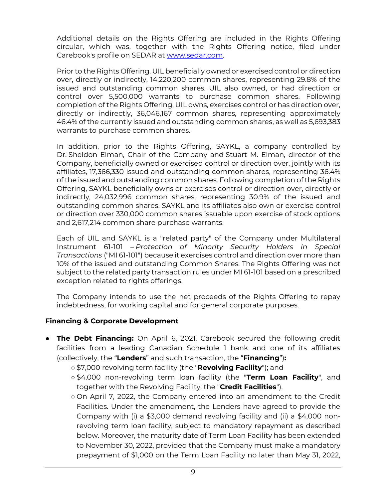Additional details on the Rights Offering are included in the Rights Offering circular, which was, together with the Rights Offering notice, filed under Carebook's profile on SEDAR at [www.sedar.com.](http://www.sedar.com/)

Prior to the Rights Offering, UIL beneficially owned or exercised control or direction over, directly or indirectly, 14,220,200 common shares, representing 29.8% of the issued and outstanding common shares. UIL also owned, or had direction or control over 5,500,000 warrants to purchase common shares. Following completion of the Rights Offering, UIL owns, exercises control or has direction over, directly or indirectly, 36,046,167 common shares, representing approximately 46.4% of the currently issued and outstanding common shares, as well as 5,693,383 warrants to purchase common shares.

In addition, prior to the Rights Offering, SAYKL, a company controlled by Dr. Sheldon Elman, Chair of the Company and Stuart M. Elman, director of the Company, beneficially owned or exercised control or direction over, jointly with its affiliates, 17,366,330 issued and outstanding common shares, representing 36.4% of the issued and outstanding common shares. Following completion of the Rights Offering, SAYKL beneficially owns or exercises control or direction over, directly or indirectly, 24,032,996 common shares, representing 30.9% of the issued and outstanding common shares. SAYKL and its affiliates also own or exercise control or direction over 330,000 common shares issuable upon exercise of stock options and 2,617,214 common share purchase warrants.

Each of UIL and SAYKL is a "related party" of the Company under Multilateral Instrument 61-101 – *Protection of Minority Security Holders in Special Transactions* ("MI 61-101") because it exercises control and direction over more than 10% of the issued and outstanding Common Shares. The Rights Offering was not subject to the related party transaction rules under MI 61-101 based on a prescribed exception related to rights offerings.

The Company intends to use the net proceeds of the Rights Offering to repay indebtedness, for working capital and for general corporate purposes.

#### **Financing & Corporate Development**

- **The Debt Financing:** On April 6, 2021, Carebook secured the following credit facilities from a leading Canadian Schedule 1 bank and one of its affiliates (collectively, the "**Lenders**" and such transaction, the "**Financing**")**:**
	- \$7,000 revolving term facility (the "**Revolving Facility**"); and
	- \$4,000 non-revolving term loan facility (the "**Term Loan Facility**", and together with the Revolving Facility, the "**Credit Facilities**").
	- On April 7, 2022, the Company entered into an amendment to the Credit Facilities. Under the amendment, the Lenders have agreed to provide the Company with (i) a \$3,000 demand revolving facility and (ii) a \$4,000 nonrevolving term loan facility, subject to mandatory repayment as described below. Moreover, the maturity date of Term Loan Facility has been extended to November 30, 2022, provided that the Company must make a mandatory prepayment of \$1,000 on the Term Loan Facility no later than May 31, 2022,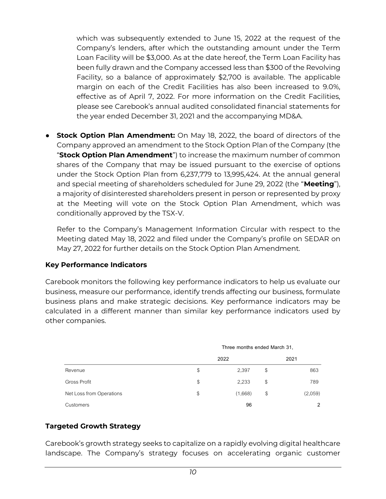which was subsequently extended to June 15, 2022 at the request of the Company's lenders, after which the outstanding amount under the Term Loan Facility will be \$3,000. As at the date hereof, the Term Loan Facility has been fully drawn and the Company accessed less than \$300 of the Revolving Facility, so a balance of approximately \$2,700 is available. The applicable margin on each of the Credit Facilities has also been increased to 9.0%, effective as of April 7, 2022. For more information on the Credit Facilities, please see Carebook's annual audited consolidated financial statements for the year ended December 31, 2021 and the accompanying MD&A.

● **Stock Option Plan Amendment:** On May 18, 2022, the board of directors of the Company approved an amendment to the Stock Option Plan of the Company (the "**Stock Option Plan Amendment**") to increase the maximum number of common shares of the Company that may be issued pursuant to the exercise of options under the Stock Option Plan from 6,237,779 to 13,995,424. At the annual general and special meeting of shareholders scheduled for June 29, 2022 (the "**Meeting**"), a majority of disinterested shareholders present in person or represented by proxy at the Meeting will vote on the Stock Option Plan Amendment, which was conditionally approved by the TSX-V.

Refer to the Company's Management Information Circular with respect to the Meeting dated May 18, 2022 and filed under the Company's profile on SEDAR on May 27, 2022 for further details on the Stock Option Plan Amendment.

#### **Key Performance Indicators**

Carebook monitors the following key performance indicators to help us evaluate our business, measure our performance, identify trends affecting our business, formulate business plans and make strategic decisions. Key performance indicators may be calculated in a different manner than similar key performance indicators used by other companies.

|                          | Three months ended March 31, |    |               |  |  |
|--------------------------|------------------------------|----|---------------|--|--|
|                          | 2022                         |    | 2021          |  |  |
| Revenue                  | \$<br>2,397                  | \$ | 863           |  |  |
| Gross Profit             | \$<br>2,233                  | \$ | 789           |  |  |
| Net Loss from Operations | \$<br>(1,668)                | \$ | (2,059)       |  |  |
| Customers                | 96                           |    | $\mathcal{P}$ |  |  |

## **Targeted Growth Strategy**

Carebook's growth strategy seeks to capitalize on a rapidly evolving digital healthcare landscape. The Company's strategy focuses on accelerating organic customer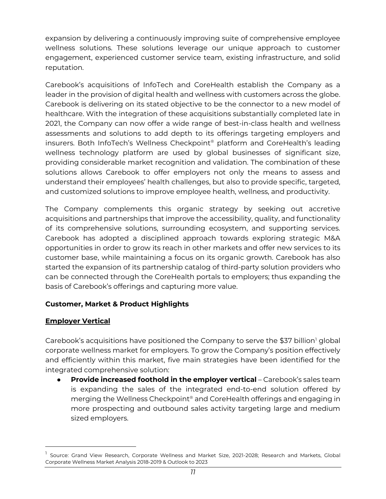expansion by delivering a continuously improving suite of comprehensive employee wellness solutions. These solutions leverage our unique approach to customer engagement, experienced customer service team, existing infrastructure, and solid reputation.

Carebook's acquisitions of InfoTech and CoreHealth establish the Company as a leader in the provision of digital health and wellness with customers across the globe. Carebook is delivering on its stated objective to be the connector to a new model of healthcare. With the integration of these acquisitions substantially completed late in 2021, the Company can now offer a wide range of best-in-class health and wellness assessments and solutions to add depth to its offerings targeting employers and insurers. Both InfoTech's Wellness Checkpoint® platform and CoreHealth's leading wellness technology platform are used by global businesses of significant size, providing considerable market recognition and validation. The combination of these solutions allows Carebook to offer employers not only the means to assess and understand their employees' health challenges, but also to provide specific, targeted, and customized solutions to improve employee health, wellness, and productivity.

The Company complements this organic strategy by seeking out accretive acquisitions and partnerships that improve the accessibility, quality, and functionality of its comprehensive solutions, surrounding ecosystem, and supporting services. Carebook has adopted a disciplined approach towards exploring strategic M&A opportunities in order to grow its reach in other markets and offer new services to its customer base, while maintaining a focus on its organic growth. Carebook has also started the expansion of its partnership catalog of third-party solution providers who can be connected through the CoreHealth portals to employers; thus expanding the basis of Carebook's offerings and capturing more value.

## **Customer, Market & Product Highlights**

## **Employer Vertical**

Carebook's acquisitions have positioned the Company to serve the \$37 billion<sup>1</sup> global corporate wellness market for employers. To grow the Company's position effectively and efficiently within this market, five main strategies have been identified for the integrated comprehensive solution:

**Provide increased foothold in the employer vertical** – Carebook's sales team is expanding the sales of the integrated end-to-end solution offered by merging the Wellness Checkpoint® and CoreHealth offerings and engaging in more prospecting and outbound sales activity targeting large and medium sized employers.

<sup>&</sup>lt;sup>1</sup> Source: Grand View Research, Corporate Wellness and Market Size, 2021-2028; Research and Markets, Global Corporate Wellness Market Analysis 2018-2019 & Outlook to 2023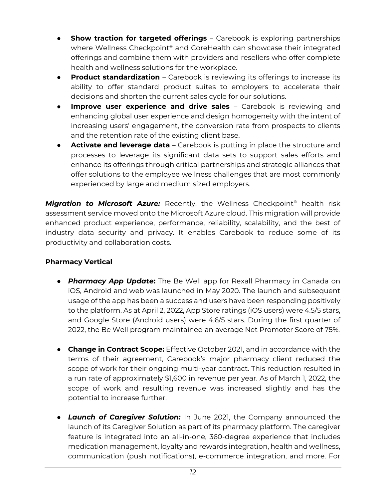- **Show traction for targeted offerings** Carebook is exploring partnerships where Wellness Checkpoint® and CoreHealth can showcase their integrated offerings and combine them with providers and resellers who offer complete health and wellness solutions for the workplace.
- **Product standardization** Carebook is reviewing its offerings to increase its ability to offer standard product suites to employers to accelerate their decisions and shorten the current sales cycle for our solutions.
- **Improve user experience and drive sales** Carebook is reviewing and enhancing global user experience and design homogeneity with the intent of increasing users' engagement, the conversion rate from prospects to clients and the retention rate of the existing client base.
- **Activate and leverage data** Carebook is putting in place the structure and processes to leverage its significant data sets to support sales efforts and enhance its offerings through critical partnerships and strategic alliances that offer solutions to the employee wellness challenges that are most commonly experienced by large and medium sized employers.

*Migration to Microsoft Azure:* Recently, the Wellness Checkpoint® health risk assessment service moved onto the Microsoft Azure cloud. This migration will provide enhanced product experience, performance, reliability, scalability, and the best of industry data security and privacy. It enables Carebook to reduce some of its productivity and collaboration costs.

## **Pharmacy Vertical**

- *Pharmacy App Update***:** The Be Well app for Rexall Pharmacy in Canada on iOS, Android and web was launched in May 2020. The launch and subsequent usage of the app has been a success and users have been responding positively to the platform. As at April 2, 2022, App Store ratings (iOS users) were 4.5/5 stars, and Google Store (Android users) were 4.6/5 stars. During the first quarter of 2022, the Be Well program maintained an average Net Promoter Score of 75%.
- **Change in Contract Scope:** Effective October 2021, and in accordance with the terms of their agreement, Carebook's major pharmacy client reduced the scope of work for their ongoing multi-year contract. This reduction resulted in a run rate of approximately \$1,600 in revenue per year. As of March 1, 2022, the scope of work and resulting revenue was increased slightly and has the potential to increase further.
- *Launch of Caregiver Solution:* In June 2021, the Company announced the launch of its Caregiver Solution as part of its pharmacy platform. The caregiver feature is integrated into an all-in-one, 360-degree experience that includes medication management, loyalty and rewards integration, health and wellness, communication (push notifications), e-commerce integration, and more. For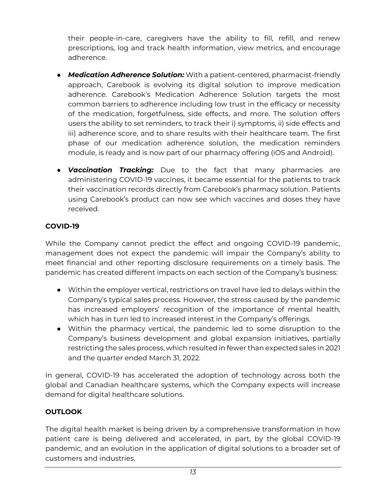their people-in-care, caregivers have the ability to fill, refill, and renew prescriptions, log and track health information, view metrics, and encourage adherence.

- *Medication Adherence Solution:* With a patient-centered, pharmacist-friendly approach, Carebook is evolving its digital solution to improve medication adherence. Carebook's Medication Adherence Solution targets the most common barriers to adherence including low trust in the efficacy or necessity of the medication, forgetfulness, side effects, and more. The solution offers users the ability to set reminders, to track their i) symptoms, ii) side effects and iii) adherence score, and to share results with their healthcare team. The first phase of our medication adherence solution, the medication reminders module, is ready and is now part of our pharmacy offering (iOS and Android).
- *Vaccination Tracking:* Due to the fact that many pharmacies are administering COVID-19 vaccines, it became essential for the patients to track their vaccination records directly from Carebook's pharmacy solution. Patients using Carebook's product can now see which vaccines and doses they have received.

## **COVID-19**

While the Company cannot predict the effect and ongoing COVID-19 pandemic, management does not expect the pandemic will impair the Company's ability to meet financial and other reporting disclosure requirements on a timely basis. The pandemic has created different impacts on each section of the Company's business:

- Within the employer vertical, restrictions on travel have led to delays within the Company's typical sales process. However, the stress caused by the pandemic has increased employers' recognition of the importance of mental health, which has in turn led to increased interest in the Company's offerings.
- Within the pharmacy vertical, the pandemic led to some disruption to the Company's business development and global expansion initiatives, partially restricting the sales process, which resulted in fewer than expected sales in 2021 and the quarter ended March 31, 2022.

In general, COVID-19 has accelerated the adoption of technology across both the global and Canadian healthcare systems, which the Company expects will increase demand for digital healthcare solutions.

# **OUTLOOK**

The digital health market is being driven by a comprehensive transformation in how patient care is being delivered and accelerated, in part, by the global COVID-19 pandemic, and an evolution in the application of digital solutions to a broader set of customers and industries.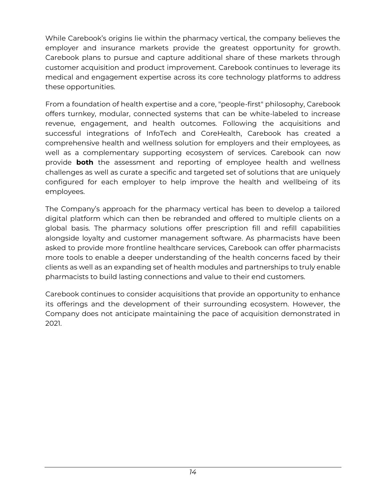While Carebook's origins lie within the pharmacy vertical, the company believes the employer and insurance markets provide the greatest opportunity for growth. Carebook plans to pursue and capture additional share of these markets through customer acquisition and product improvement. Carebook continues to leverage its medical and engagement expertise across its core technology platforms to address these opportunities.

From a foundation of health expertise and a core, "people-first" philosophy, Carebook offers turnkey, modular, connected systems that can be white-labeled to increase revenue, engagement, and health outcomes. Following the acquisitions and successful integrations of InfoTech and CoreHealth, Carebook has created a comprehensive health and wellness solution for employers and their employees, as well as a complementary supporting ecosystem of services. Carebook can now provide **both** the assessment and reporting of employee health and wellness challenges as well as curate a specific and targeted set of solutions that are uniquely configured for each employer to help improve the health and wellbeing of its employees.

The Company's approach for the pharmacy vertical has been to develop a tailored digital platform which can then be rebranded and offered to multiple clients on a global basis. The pharmacy solutions offer prescription fill and refill capabilities alongside loyalty and customer management software. As pharmacists have been asked to provide more frontline healthcare services, Carebook can offer pharmacists more tools to enable a deeper understanding of the health concerns faced by their clients as well as an expanding set of health modules and partnerships to truly enable pharmacists to build lasting connections and value to their end customers.

Carebook continues to consider acquisitions that provide an opportunity to enhance its offerings and the development of their surrounding ecosystem. However, the Company does not anticipate maintaining the pace of acquisition demonstrated in 2021.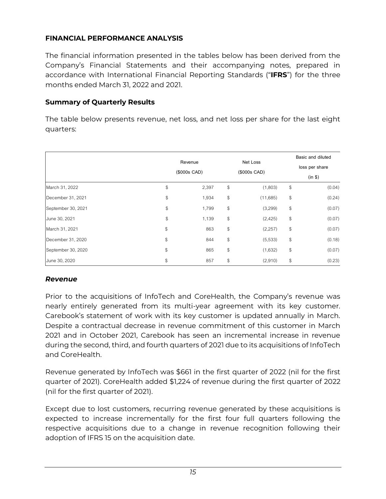## **FINANCIAL PERFORMANCE ANALYSIS**

The financial information presented in the tables below has been derived from the Company's Financial Statements and their accompanying notes, prepared in accordance with International Financial Reporting Standards ("**IFRS**") for the three months ended March 31, 2022 and 2021.

#### **Summary of Quarterly Results**

The table below presents revenue, net loss, and net loss per share for the last eight quarters:

|                    | Revenue<br>(\$000s CAD) |        | Net Loss<br>$(S000s$ CAD) | Basic and diluted<br>loss per share<br>(in \$) |        |  |
|--------------------|-------------------------|--------|---------------------------|------------------------------------------------|--------|--|
| March 31, 2022     | \$<br>2,397             | \$     | (1,803)                   | \$                                             | (0.04) |  |
| December 31, 2021  | \$<br>1,934             | \$     | (11,685)                  | \$                                             | (0.24) |  |
| September 30, 2021 | \$<br>1,799             | \$     | (3,299)                   | \$                                             | (0.07) |  |
| June 30, 2021      | \$<br>1,139             | $\$\,$ | (2,425)                   | \$                                             | (0.07) |  |
| March 31, 2021     | \$<br>863               | $\$\$  | (2,257)                   | \$                                             | (0.07) |  |
| December 31, 2020  | \$<br>844               | $\$\$  | (5,533)                   | \$                                             | (0.18) |  |
| September 30, 2020 | \$<br>865               | $\$\,$ | (1,632)                   | \$                                             | (0.07) |  |
| June 30, 2020      | \$<br>857               | \$     | (2,910)                   | \$                                             | (0.23) |  |

## *Revenue*

Prior to the acquisitions of InfoTech and CoreHealth, the Company's revenue was nearly entirely generated from its multi-year agreement with its key customer. Carebook's statement of work with its key customer is updated annually in March. Despite a contractual decrease in revenue commitment of this customer in March 2021 and in October 2021, Carebook has seen an incremental increase in revenue during the second, third, and fourth quarters of 2021 due to its acquisitions of InfoTech and CoreHealth.

Revenue generated by InfoTech was \$661 in the first quarter of 2022 (nil for the first quarter of 2021). CoreHealth added \$1,224 of revenue during the first quarter of 2022 (nil for the first quarter of 2021).

Except due to lost customers, recurring revenue generated by these acquisitions is expected to increase incrementally for the first four full quarters following the respective acquisitions due to a change in revenue recognition following their adoption of IFRS 15 on the acquisition date.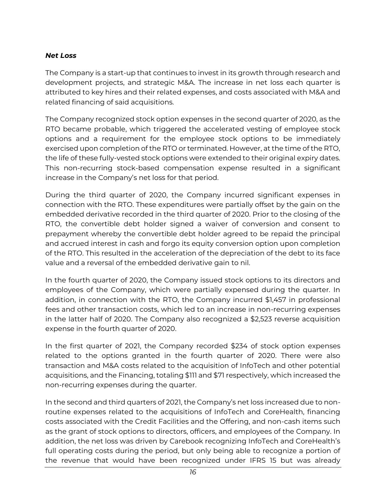#### *Net Loss*

The Company is a start-up that continues to invest in its growth through research and development projects, and strategic M&A. The increase in net loss each quarter is attributed to key hires and their related expenses, and costs associated with M&A and related financing of said acquisitions.

The Company recognized stock option expenses in the second quarter of 2020, as the RTO became probable, which triggered the accelerated vesting of employee stock options and a requirement for the employee stock options to be immediately exercised upon completion of the RTO or terminated. However, at the time of the RTO, the life of these fully-vested stock options were extended to their original expiry dates. This non-recurring stock-based compensation expense resulted in a significant increase in the Company's net loss for that period.

During the third quarter of 2020, the Company incurred significant expenses in connection with the RTO. These expenditures were partially offset by the gain on the embedded derivative recorded in the third quarter of 2020. Prior to the closing of the RTO, the convertible debt holder signed a waiver of conversion and consent to prepayment whereby the convertible debt holder agreed to be repaid the principal and accrued interest in cash and forgo its equity conversion option upon completion of the RTO. This resulted in the acceleration of the depreciation of the debt to its face value and a reversal of the embedded derivative gain to nil.

In the fourth quarter of 2020, the Company issued stock options to its directors and employees of the Company, which were partially expensed during the quarter. In addition, in connection with the RTO, the Company incurred \$1,457 in professional fees and other transaction costs, which led to an increase in non-recurring expenses in the latter half of 2020. The Company also recognized a \$2,523 reverse acquisition expense in the fourth quarter of 2020.

In the first quarter of 2021, the Company recorded \$234 of stock option expenses related to the options granted in the fourth quarter of 2020. There were also transaction and M&A costs related to the acquisition of InfoTech and other potential acquisitions, and the Financing, totaling \$111 and \$71 respectively, which increased the non-recurring expenses during the quarter.

In the second and third quarters of 2021, the Company's net loss increased due to nonroutine expenses related to the acquisitions of InfoTech and CoreHealth, financing costs associated with the Credit Facilities and the Offering, and non-cash items such as the grant of stock options to directors, officers, and employees of the Company. In addition, the net loss was driven by Carebook recognizing InfoTech and CoreHealth's full operating costs during the period, but only being able to recognize a portion of the revenue that would have been recognized under IFRS 15 but was already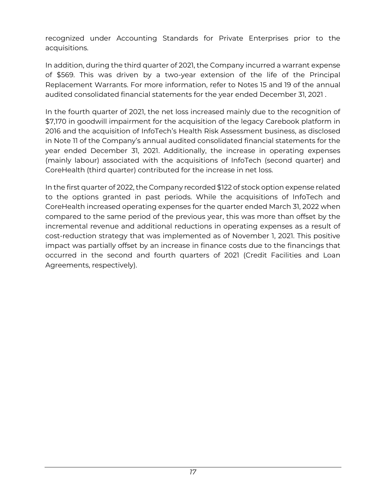recognized under Accounting Standards for Private Enterprises prior to the acquisitions.

In addition, during the third quarter of 2021, the Company incurred a warrant expense of \$569. This was driven by a two-year extension of the life of the Principal Replacement Warrants. For more information, refer to Notes 15 and 19 of the annual audited consolidated financial statements for the year ended December 31, 2021 .

In the fourth quarter of 2021, the net loss increased mainly due to the recognition of \$7,170 in goodwill impairment for the acquisition of the legacy Carebook platform in 2016 and the acquisition of InfoTech's Health Risk Assessment business, as disclosed in Note 11 of the Company's annual audited consolidated financial statements for the year ended December 31, 2021. Additionally, the increase in operating expenses (mainly labour) associated with the acquisitions of InfoTech (second quarter) and CoreHealth (third quarter) contributed for the increase in net loss.

In the first quarter of 2022, the Company recorded \$122 of stock option expense related to the options granted in past periods. While the acquisitions of InfoTech and CoreHealth increased operating expenses for the quarter ended March 31, 2022 when compared to the same period of the previous year, this was more than offset by the incremental revenue and additional reductions in operating expenses as a result of cost-reduction strategy that was implemented as of November 1, 2021. This positive impact was partially offset by an increase in finance costs due to the financings that occurred in the second and fourth quarters of 2021 (Credit Facilities and Loan Agreements, respectively).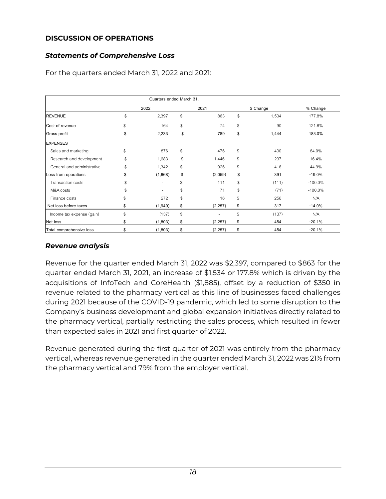### **DISCUSSION OF OPERATIONS**

### *Statements of Comprehensive Loss*

|                            | Quarters ended March 31, |                                |                |           |            |
|----------------------------|--------------------------|--------------------------------|----------------|-----------|------------|
|                            | 2022                     | 2021                           |                | \$ Change | % Change   |
| <b>REVENUE</b>             | \$<br>2,397              | \$<br>863                      | S              | 1,534     | 177.8%     |
| Cost of revenue            | \$<br>164                | \$<br>74                       | $$\mathbb{S}$$ | 90        | 121.6%     |
| Gross profit               | \$<br>2,233              | \$<br>789                      | \$             | 1,444     | 183.0%     |
| <b>EXPENSES</b>            |                          |                                |                |           |            |
| Sales and marketing        | \$<br>876                | \$<br>476                      | \$             | 400       | 84.0%      |
| Research and development   | \$<br>1,683              | \$<br>1,446                    | \$             | 237       | 16.4%      |
| General and administrative | \$<br>1,342              | \$<br>926                      | \$             | 416       | 44.9%      |
| Loss from operations       | \$<br>(1,668)            | \$<br>(2,059)                  | \$             | 391       | $-19.0%$   |
| Transaction costs          | \$                       | \$<br>111                      | \$             | (111)     | $-100.0\%$ |
| M&A costs                  | \$                       | \$<br>71                       | \$             | (71)      | $-100.0\%$ |
| Finance costs              | \$<br>272                | \$<br>16                       | \$             | 256       | N/A        |
| Net loss before taxes      | \$<br>(1,940)            | \$<br>(2, 257)                 | \$             | 317       | $-14.0%$   |
| Income tax expense (gain)  | \$<br>(137)              | \$<br>$\overline{\phantom{a}}$ | \$             | (137)     | N/A        |
| Net loss                   | \$<br>(1,803)            | \$<br>(2, 257)                 | \$             | 454       | $-20.1%$   |
| Total comprehensive loss   | \$<br>(1,803)            | \$<br>(2, 257)                 | \$             | 454       | $-20.1%$   |

For the quarters ended March 31, 2022 and 2021:

## *Revenue analysis*

Revenue for the quarter ended March 31, 2022 was \$2,397, compared to \$863 for the quarter ended March 31, 2021, an increase of \$1,534 or 177.8% which is driven by the acquisitions of InfoTech and CoreHealth (\$1,885), offset by a reduction of \$350 in revenue related to the pharmacy vertical as this line of businesses faced challenges during 2021 because of the COVID-19 pandemic, which led to some disruption to the Company's business development and global expansion initiatives directly related to the pharmacy vertical, partially restricting the sales process, which resulted in fewer than expected sales in 2021 and first quarter of 2022.

Revenue generated during the first quarter of 2021 was entirely from the pharmacy vertical, whereas revenue generated in the quarter ended March 31, 2022 was 21% from the pharmacy vertical and 79% from the employer vertical.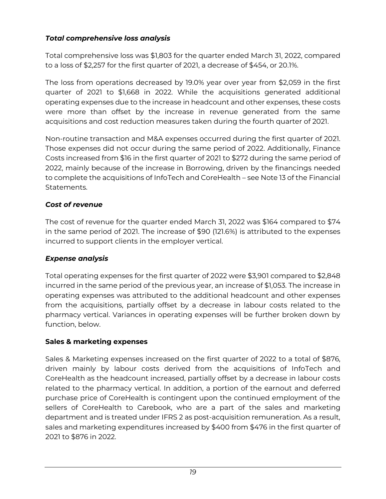## *Total comprehensive loss analysis*

Total comprehensive loss was \$1,803 for the quarter ended March 31, 2022, compared to a loss of \$2,257 for the first quarter of 2021, a decrease of \$454, or 20.1%.

The loss from operations decreased by 19.0% year over year from \$2,059 in the first quarter of 2021 to \$1,668 in 2022. While the acquisitions generated additional operating expenses due to the increase in headcount and other expenses, these costs were more than offset by the increase in revenue generated from the same acquisitions and cost reduction measures taken during the fourth quarter of 2021.

Non-routine transaction and M&A expenses occurred during the first quarter of 2021. Those expenses did not occur during the same period of 2022. Additionally, Finance Costs increased from \$16 in the first quarter of 2021 to \$272 during the same period of 2022, mainly because of the increase in Borrowing, driven by the financings needed to complete the acquisitions of InfoTech and CoreHealth – see Note 13 of the Financial Statements.

## *Cost of revenue*

The cost of revenue for the quarter ended March 31, 2022 was \$164 compared to \$74 in the same period of 2021. The increase of \$90 (121.6%) is attributed to the expenses incurred to support clients in the employer vertical.

## *Expense analysis*

Total operating expenses for the first quarter of 2022 were \$3,901 compared to \$2,848 incurred in the same period of the previous year, an increase of \$1,053. The increase in operating expenses was attributed to the additional headcount and other expenses from the acquisitions, partially offset by a decrease in labour costs related to the pharmacy vertical. Variances in operating expenses will be further broken down by function, below.

# **Sales & marketing expenses**

Sales & Marketing expenses increased on the first quarter of 2022 to a total of \$876, driven mainly by labour costs derived from the acquisitions of InfoTech and CoreHealth as the headcount increased, partially offset by a decrease in labour costs related to the pharmacy vertical. In addition, a portion of the earnout and deferred purchase price of CoreHealth is contingent upon the continued employment of the sellers of CoreHealth to Carebook, who are a part of the sales and marketing department and is treated under IFRS 2 as post-acquisition remuneration. As a result, sales and marketing expenditures increased by \$400 from \$476 in the first quarter of 2021 to \$876 in 2022.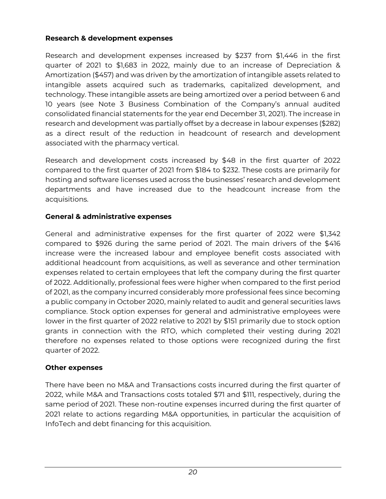## **Research & development expenses**

Research and development expenses increased by \$237 from \$1,446 in the first quarter of 2021 to \$1,683 in 2022, mainly due to an increase of Depreciation & Amortization (\$457) and was driven by the amortization of intangible assets related to intangible assets acquired such as trademarks, capitalized development, and technology. These intangible assets are being amortized over a period between 6 and 10 years (see Note 3 Business Combination of the Company's annual audited consolidated financial statements for the year end December 31, 2021). The increase in research and development was partially offset by a decrease in labour expenses (\$282) as a direct result of the reduction in headcount of research and development associated with the pharmacy vertical.

Research and development costs increased by \$48 in the first quarter of 2022 compared to the first quarter of 2021 from \$184 to \$232. These costs are primarily for hosting and software licenses used across the businesses' research and development departments and have increased due to the headcount increase from the acquisitions.

## **General & administrative expenses**

General and administrative expenses for the first quarter of 2022 were \$1,342 compared to \$926 during the same period of 2021. The main drivers of the \$416 increase were the increased labour and employee benefit costs associated with additional headcount from acquisitions, as well as severance and other termination expenses related to certain employees that left the company during the first quarter of 2022. Additionally, professional fees were higher when compared to the first period of 2021, as the company incurred considerably more professional fees since becoming a public company in October 2020, mainly related to audit and general securities laws compliance. Stock option expenses for general and administrative employees were lower in the first quarter of 2022 relative to 2021 by \$151 primarily due to stock option grants in connection with the RTO, which completed their vesting during 2021 therefore no expenses related to those options were recognized during the first quarter of 2022.

#### **Other expenses**

There have been no M&A and Transactions costs incurred during the first quarter of 2022, while M&A and Transactions costs totaled \$71 and \$111, respectively, during the same period of 2021. These non-routine expenses incurred during the first quarter of 2021 relate to actions regarding M&A opportunities, in particular the acquisition of InfoTech and debt financing for this acquisition.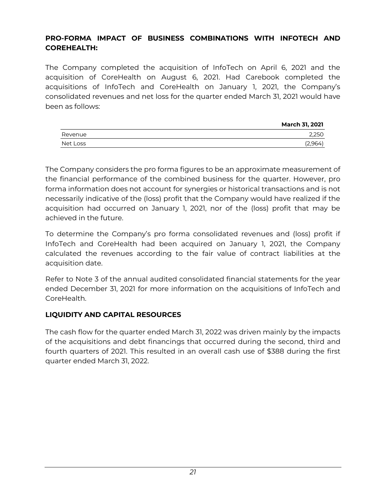## **PRO-FORMA IMPACT OF BUSINESS COMBINATIONS WITH INFOTECH AND COREHEALTH:**

The Company completed the acquisition of InfoTech on April 6, 2021 and the acquisition of CoreHealth on August 6, 2021. Had Carebook completed the acquisitions of InfoTech and CoreHealth on January 1, 2021, the Company's consolidated revenues and net loss for the quarter ended March 31, 2021 would have been as follows:

|          | <b>March 31, 2021</b> |
|----------|-----------------------|
| Revenue  | 2,250                 |
| Net Loss | (2,964)               |

The Company considers the pro forma figures to be an approximate measurement of the financial performance of the combined business for the quarter. However, pro forma information does not account for synergies or historical transactions and is not necessarily indicative of the (loss) profit that the Company would have realized if the acquisition had occurred on January 1, 2021, nor of the (loss) profit that may be achieved in the future.

To determine the Company's pro forma consolidated revenues and (loss) profit if InfoTech and CoreHealth had been acquired on January 1, 2021, the Company calculated the revenues according to the fair value of contract liabilities at the acquisition date.

Refer to Note 3 of the annual audited consolidated financial statements for the year ended December 31, 2021 for more information on the acquisitions of InfoTech and CoreHealth.

#### **LIQUIDITY AND CAPITAL RESOURCES**

The cash flow for the quarter ended March 31, 2022 was driven mainly by the impacts of the acquisitions and debt financings that occurred during the second, third and fourth quarters of 2021. This resulted in an overall cash use of \$388 during the first quarter ended March 31, 2022.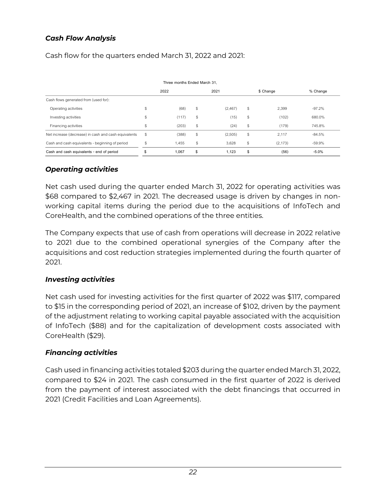## *Cash Flow Analysis*

### Cash flow for the quarters ended March 31, 2022 and 2021:

| Three months Ended March 31.                         |    |       |    |         |    |           |          |  |
|------------------------------------------------------|----|-------|----|---------|----|-----------|----------|--|
|                                                      |    | 2022  |    | 2021    |    | \$ Change | % Change |  |
| Cash flows generated from (used for):                |    |       |    |         |    |           |          |  |
| Operating activities                                 | \$ | (68)  | \$ | (2,467) | \$ | 2,399     | $-97.2%$ |  |
| Investing activities                                 | \$ | (117) | \$ | (15)    | \$ | (102)     | 680.0%   |  |
| Financing activities                                 | \$ | (203) | \$ | (24)    | \$ | (179)     | 745.8%   |  |
| Net increase (decrease) in cash and cash equivalents | \$ | (388) | \$ | (2,505) | \$ | 2,117     | $-84.5%$ |  |
| Cash and cash equivalents - beginning of period      | \$ | 1,455 | \$ | 3,628   | S  | (2, 173)  | $-59.9%$ |  |
| Cash and cash equivalents - end of period            |    | 1,067 | \$ | 1.123   | \$ | (56)      | $-5.0%$  |  |

#### *Operating activities*

Net cash used during the quarter ended March 31, 2022 for operating activities was \$68 compared to \$2,467 in 2021. The decreased usage is driven by changes in nonworking capital items during the period due to the acquisitions of InfoTech and CoreHealth, and the combined operations of the three entities.

The Company expects that use of cash from operations will decrease in 2022 relative to 2021 due to the combined operational synergies of the Company after the acquisitions and cost reduction strategies implemented during the fourth quarter of 2021.

#### *Investing activities*

Net cash used for investing activities for the first quarter of 2022 was \$117, compared to \$15 in the corresponding period of 2021, an increase of \$102, driven by the payment of the adjustment relating to working capital payable associated with the acquisition of InfoTech (\$88) and for the capitalization of development costs associated with CoreHealth (\$29).

#### *Financing activities*

Cash used in financing activities totaled \$203 during the quarter ended March 31, 2022, compared to \$24 in 2021. The cash consumed in the first quarter of 2022 is derived from the payment of interest associated with the debt financings that occurred in 2021 (Credit Facilities and Loan Agreements).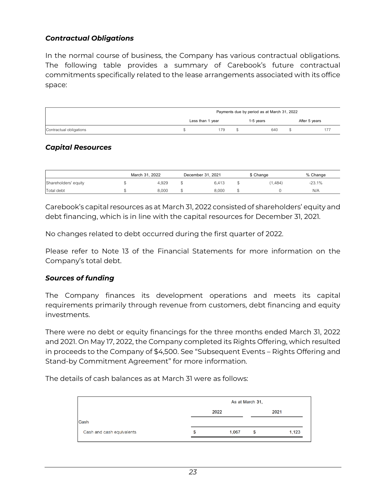### *Contractual Obligations*

In the normal course of business, the Company has various contractual obligations. The following table provides a summary of Carebook's future contractual commitments specifically related to the lease arrangements associated with its office space:

|                         | Payments due by period as at March 31, 2022 |                  |  |           |  |               |  |
|-------------------------|---------------------------------------------|------------------|--|-----------|--|---------------|--|
|                         |                                             | Less than 1 year |  | 1-5 years |  | After 5 years |  |
| Contractual obligations |                                             | 179              |  | 640       |  |               |  |

#### *Capital Resources*

|                      | March 31, 2022 |       | December 31, 2021 |       | \$ Change |         | % Change |
|----------------------|----------------|-------|-------------------|-------|-----------|---------|----------|
| Shareholders' equity |                | 4.929 |                   | 6.413 |           | (1.484) | $-23.1%$ |
| Total debt           |                | 8,000 |                   | 8,000 |           |         | N/A      |

Carebook's capital resources as at March 31, 2022 consisted of shareholders' equity and debt financing, which is in line with the capital resources for December 31, 2021.

No changes related to debt occurred during the first quarter of 2022.

Please refer to Note 13 of the Financial Statements for more information on the Company's total debt.

#### *Sources of funding*

The Company finances its development operations and meets its capital requirements primarily through revenue from customers, debt financing and equity investments.

There were no debt or equity financings for the three months ended March 31, 2022 and 2021. On May 17, 2022, the Company completed its Rights Offering, which resulted in proceeds to the Company of \$4,500. See "Subsequent Events – Rights Offering and Stand-by Commitment Agreement" for more information.

The details of cash balances as at March 31 were as follows:

|                           | As at March 31, |   |       |  |  |  |
|---------------------------|-----------------|---|-------|--|--|--|
|                           | 2022            |   | 2021  |  |  |  |
| Cash                      |                 |   |       |  |  |  |
| Cash and cash equivalents | 1.067           | S | 1,123 |  |  |  |
|                           |                 |   |       |  |  |  |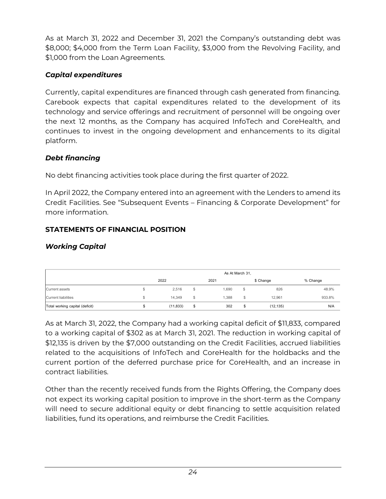As at March 31, 2022 and December 31, 2021 the Company's outstanding debt was \$8,000; \$4,000 from the Term Loan Facility, \$3,000 from the Revolving Facility, and \$1,000 from the Loan Agreements.

## *Capital expenditures*

Currently, capital expenditures are financed through cash generated from financing. Carebook expects that capital expenditures related to the development of its technology and service offerings and recruitment of personnel will be ongoing over the next 12 months, as the Company has acquired InfoTech and CoreHealth, and continues to invest in the ongoing development and enhancements to its digital platform.

# *Debt financing*

No debt financing activities took place during the first quarter of 2022.

In April 2022, the Company entered into an agreement with the Lenders to amend its Credit Facilities. See "Subsequent Events – Financing & Corporate Development" for more information.

## **STATEMENTS OF FINANCIAL POSITION**

## *Working Capital*

|                                 | As At March 31, |   |       |     |           |          |  |
|---------------------------------|-----------------|---|-------|-----|-----------|----------|--|
|                                 | 2022            |   | 2021  |     | \$ Change | % Change |  |
| Current assets                  | 2,516           |   | 1,690 | S   | 826       | 48.9%    |  |
| Current liabilities             | 14,349          |   | 1,388 | S   | 12,961    | 933.8%   |  |
| Total working capital (deficit) | (11, 833)       | ъ | 302   | \$. | (12, 135) | N/A      |  |

As at March 31, 2022, the Company had a working capital deficit of \$11,833, compared to a working capital of \$302 as at March 31, 2021. The reduction in working capital of \$12,135 is driven by the \$7,000 outstanding on the Credit Facilities, accrued liabilities related to the acquisitions of InfoTech and CoreHealth for the holdbacks and the current portion of the deferred purchase price for CoreHealth, and an increase in contract liabilities.

Other than the recently received funds from the Rights Offering, the Company does not expect its working capital position to improve in the short-term as the Company will need to secure additional equity or debt financing to settle acquisition related liabilities, fund its operations, and reimburse the Credit Facilities.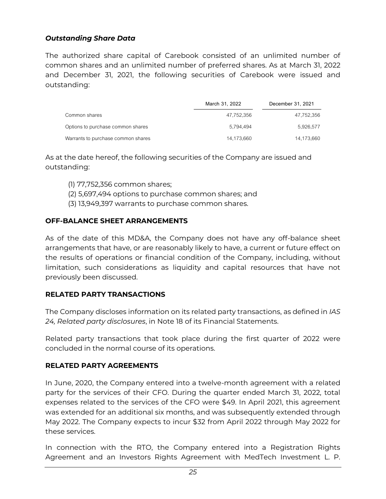### *Outstanding Share Data*

The authorized share capital of Carebook consisted of an unlimited number of common shares and an unlimited number of preferred shares. As at March 31, 2022 and December 31, 2021, the following securities of Carebook were issued and outstanding:

|                                    | March 31, 2022 | December 31, 2021 |
|------------------------------------|----------------|-------------------|
| Common shares                      | 47,752,356     | 47,752,356        |
| Options to purchase common shares  | 5.794.494      | 5.926.577         |
| Warrants to purchase common shares | 14,173,660     | 14,173,660        |

As at the date hereof, the following securities of the Company are issued and outstanding:

- (1) 77,752,356 common shares;
- (2) 5,697,494 options to purchase common shares; and
- (3) 13,949,397 warrants to purchase common shares.

#### **OFF-BALANCE SHEET ARRANGEMENTS**

As of the date of this MD&A, the Company does not have any off-balance sheet arrangements that have, or are reasonably likely to have, a current or future effect on the results of operations or financial condition of the Company, including, without limitation, such considerations as liquidity and capital resources that have not previously been discussed.

#### **RELATED PARTY TRANSACTIONS**

The Company discloses information on its related party transactions, as defined in *IAS 24, Related party disclosures*, in Note 18 of its Financial Statements.

Related party transactions that took place during the first quarter of 2022 were concluded in the normal course of its operations.

#### **RELATED PARTY AGREEMENTS**

In June, 2020, the Company entered into a twelve-month agreement with a related party for the services of their CFO. During the quarter ended March 31, 2022, total expenses related to the services of the CFO were \$49. In April 2021, this agreement was extended for an additional six months, and was subsequently extended through May 2022. The Company expects to incur \$32 from April 2022 through May 2022 for these services. Commissions Bothers Agreement and an Investors Agreement and an Investors Rights Agreement and Agreement and an Investors Rights Agreement and Agreement Commissions Commissions Commissions Commission Commission Commission

In connection with the RTO, the Company entered into a Registration Rights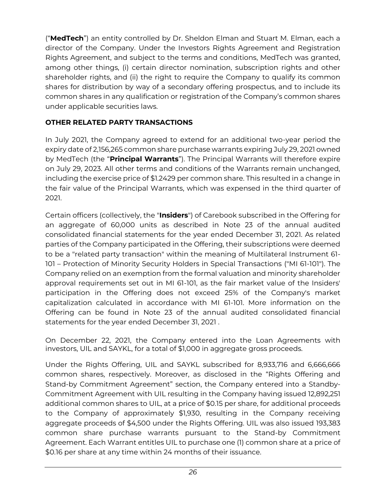("**MedTech**") an entity controlled by Dr. Sheldon Elman and Stuart M. Elman, each a director of the Company. Under the Investors Rights Agreement and Registration Rights Agreement, and subject to the terms and conditions, MedTech was granted, among other things, (i) certain director nomination, subscription rights and other shareholder rights, and (ii) the right to require the Company to qualify its common shares for distribution by way of a secondary offering prospectus, and to include its common shares in any qualification or registration of the Company's common shares under applicable securities laws.

## **OTHER RELATED PARTY TRANSACTIONS**

In July 2021, the Company agreed to extend for an additional two-year period the expiry date of 2,156,265 common share purchase warrants expiring July 29, 2021 owned by MedTech (the "**Principal Warrants**"). The Principal Warrants will therefore expire on July 29, 2023. All other terms and conditions of the Warrants remain unchanged, including the exercise price of \$1.2429 per common share. This resulted in a change in the fair value of the Principal Warrants, which was expensed in the third quarter of 2021.

Certain officers (collectively, the "**Insiders**") of Carebook subscribed in the Offering for an aggregate of 60,000 units as described in Note 23 of the annual audited consolidated financial statements for the year ended December 31, 2021. As related parties of the Company participated in the Offering, their subscriptions were deemed to be a "related party transaction" within the meaning of Multilateral Instrument 61- 101 – Protection of Minority Security Holders in Special Transactions ("MI 61-101"). The Company relied on an exemption from the formal valuation and minority shareholder approval requirements set out in MI 61-101, as the fair market value of the Insiders' participation in the Offering does not exceed 25% of the Company's market capitalization calculated in accordance with MI 61-101. More information on the Offering can be found in Note 23 of the annual audited consolidated financial statements for the year ended December 31, 2021 .

On December 22, 2021, the Company entered into the Loan Agreements with investors, UIL and SAYKL, for a total of \$1,000 in aggregate gross proceeds.

Under the Rights Offering, UIL and SAYKL subscribed for 8,933,716 and 6,666,666 common shares, respectively. Moreover, as disclosed in the "Rights Offering and Stand-by Commitment Agreement" section, the Company entered into a Standby-Commitment Agreement with UIL resulting in the Company having issued 12,892,251 additional common shares to UIL, at a price of \$0.15 per share, for additional proceeds to the Company of approximately \$1,930, resulting in the Company receiving aggregate proceeds of \$4,500 under the Rights Offering. UIL was also issued 193,383 common share purchase warrants pursuant to the Stand-by Commitment Agreement. Each Warrant entitles UIL to purchase one (1) common share at a price of \$0.16 per share at any time within 24 months of their issuance.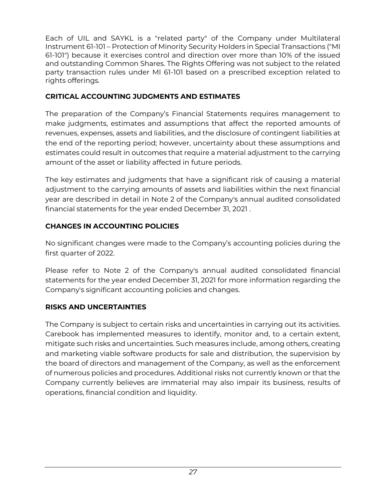Each of UIL and SAYKL is a "related party" of the Company under Multilateral Instrument 61-101 – Protection of Minority Security Holders in Special Transactions ("MI 61-101") because it exercises control and direction over more than 10% of the issued and outstanding Common Shares. The Rights Offering was not subject to the related party transaction rules under MI 61-101 based on a prescribed exception related to rights offerings.

## **CRITICAL ACCOUNTING JUDGMENTS AND ESTIMATES**

The preparation of the Company's Financial Statements requires management to make judgments, estimates and assumptions that affect the reported amounts of revenues, expenses, assets and liabilities, and the disclosure of contingent liabilities at the end of the reporting period; however, uncertainty about these assumptions and estimates could result in outcomes that require a material adjustment to the carrying amount of the asset or liability affected in future periods.

The key estimates and judgments that have a significant risk of causing a material adjustment to the carrying amounts of assets and liabilities within the next financial year are described in detail in Note 2 of the Company's annual audited consolidated financial statements for the year ended December 31, 2021 .

# **CHANGES IN ACCOUNTING POLICIES**

No significant changes were made to the Company's accounting policies during the first quarter of 2022.

Please refer to Note 2 of the Company's annual audited consolidated financial statements for the year ended December 31, 2021 for more information regarding the Company's significant accounting policies and changes.

# **RISKS AND UNCERTAINTIES**

The Company is subject to certain risks and uncertainties in carrying out its activities. Carebook has implemented measures to identify, monitor and, to a certain extent, mitigate such risks and uncertainties. Such measures include, among others, creating and marketing viable software products for sale and distribution, the supervision by the board of directors and management of the Company, as well as the enforcement of numerous policies and procedures. Additional risks not currently known or that the Company currently believes are immaterial may also impair its business, results of operations, financial condition and liquidity.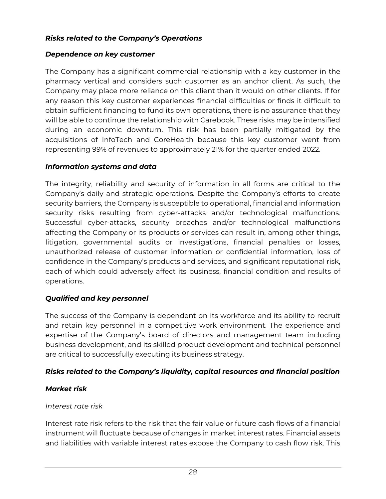## *Risks related to the Company's Operations*

## *Dependence on key customer*

The Company has a significant commercial relationship with a key customer in the pharmacy vertical and considers such customer as an anchor client. As such, the Company may place more reliance on this client than it would on other clients. If for any reason this key customer experiences financial difficulties or finds it difficult to obtain sufficient financing to fund its own operations, there is no assurance that they will be able to continue the relationship with Carebook. These risks may be intensified during an economic downturn. This risk has been partially mitigated by the acquisitions of InfoTech and CoreHealth because this key customer went from representing 99% of revenues to approximately 21% for the quarter ended 2022.

### *Information systems and data*

The integrity, reliability and security of information in all forms are critical to the Company's daily and strategic operations. Despite the Company's efforts to create security barriers, the Company is susceptible to operational, financial and information security risks resulting from cyber-attacks and/or technological malfunctions. Successful cyber-attacks, security breaches and/or technological malfunctions affecting the Company or its products or services can result in, among other things, litigation, governmental audits or investigations, financial penalties or losses, unauthorized release of customer information or confidential information, loss of confidence in the Company's products and services, and significant reputational risk, each of which could adversely affect its business, financial condition and results of operations.

## *Qualified and key personnel*

The success of the Company is dependent on its workforce and its ability to recruit and retain key personnel in a competitive work environment. The experience and expertise of the Company's board of directors and management team including business development, and its skilled product development and technical personnel are critical to successfully executing its business strategy.

## *Risks related to the Company's liquidity, capital resources and financial position*

#### *Market risk*

#### *Interest rate risk*

Interest rate risk refers to the risk that the fair value or future cash flows of a financial instrument will fluctuate because of changes in market interest rates. Financial assets and liabilities with variable interest rates expose the Company to cash flow risk. This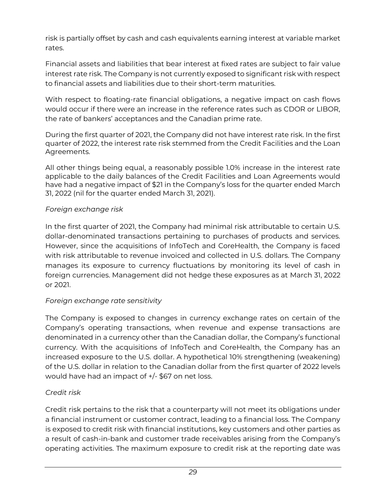risk is partially offset by cash and cash equivalents earning interest at variable market rates.

Financial assets and liabilities that bear interest at fixed rates are subject to fair value interest rate risk. The Company is not currently exposed to significant risk with respect to financial assets and liabilities due to their short-term maturities.

With respect to floating-rate financial obligations, a negative impact on cash flows would occur if there were an increase in the reference rates such as CDOR or LIBOR, the rate of bankers' acceptances and the Canadian prime rate.

During the first quarter of 2021, the Company did not have interest rate risk. In the first quarter of 2022, the interest rate risk stemmed from the Credit Facilities and the Loan Agreements.

All other things being equal, a reasonably possible 1.0% increase in the interest rate applicable to the daily balances of the Credit Facilities and Loan Agreements would have had a negative impact of \$21 in the Company's loss for the quarter ended March 31, 2022 (nil for the quarter ended March 31, 2021).

### *Foreign exchange risk*

In the first quarter of 2021, the Company had minimal risk attributable to certain U.S. dollar-denominated transactions pertaining to purchases of products and services. However, since the acquisitions of InfoTech and CoreHealth, the Company is faced with risk attributable to revenue invoiced and collected in U.S. dollars. The Company manages its exposure to currency fluctuations by monitoring its level of cash in foreign currencies. Management did not hedge these exposures as at March 31, 2022 or 2021.

## *Foreign exchange rate sensitivity*

The Company is exposed to changes in currency exchange rates on certain of the Company's operating transactions, when revenue and expense transactions are denominated in a currency other than the Canadian dollar, the Company's functional currency. With the acquisitions of InfoTech and CoreHealth, the Company has an increased exposure to the U.S. dollar. A hypothetical 10% strengthening (weakening) of the U.S. dollar in relation to the Canadian dollar from the first quarter of 2022 levels would have had an impact of +/- \$67 on net loss.

## *Credit risk*

Credit risk pertains to the risk that a counterparty will not meet its obligations under a financial instrument or customer contract, leading to a financial loss. The Company is exposed to credit risk with financial institutions, key customers and other parties as a result of cash-in-bank and customer trade receivables arising from the Company's operating activities. The maximum exposure to credit risk at the reporting date was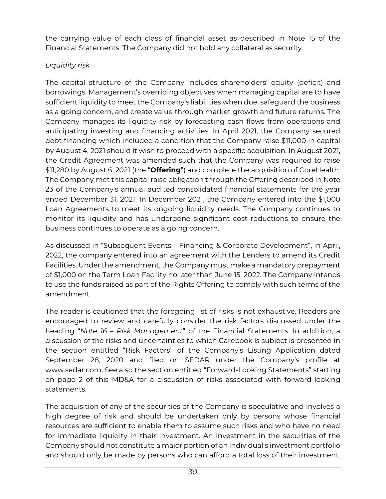the carrying value of each class of financial asset as described in Note 15 of the Financial Statements. The Company did not hold any collateral as security.

# *Liquidity risk*

The capital structure of the Company includes shareholders' equity (deficit) and borrowings. Management's overriding objectives when managing capital are to have sufficient liquidity to meet the Company's liabilities when due, safeguard the business as a going concern, and create value through market growth and future returns. The Company manages its liquidity risk by forecasting cash flows from operations and anticipating investing and financing activities. In April 2021, the Company secured debt financing which included a condition that the Company raise \$11,000 in capital by August 4, 2021 should it wish to proceed with a specific acquisition. In August 2021, the Credit Agreement was amended such that the Company was required to raise \$11,280 by August 6, 2021 (the "**Offering**") and complete the acquisition of CoreHealth. The Company met this capital raise obligation through the Offering described in Note 23 of the Company's annual audited consolidated financial statements for the year ended December 31, 2021. In December 2021, the Company entered into the \$1,000 Loan Agreements to meet its ongoing liquidity needs. The Company continues to monitor its liquidity and has undergone significant cost reductions to ensure the business continues to operate as a going concern.

As discussed in "Subsequent Events – Financing & Corporate Development", in April, 2022, the company entered into an agreement with the Lenders to amend its Credit Facilities. Under the amendment, the Company must make a mandatory prepayment of \$1,000 on the Term Loan Facility no later than June 15, 2022. The Company intends to use the funds raised as part of the Rights Offering to comply with such terms of the amendment.

The reader is cautioned that the foregoing list of risks is not exhaustive. Readers are encouraged to review and carefully consider the risk factors discussed under the heading "*Note 16 – Risk Management*" of the Financial Statements. In addition, a discussion of the risks and uncertainties to which Carebook is subject is presented in the section entitled "Risk Factors" of the Company's Listing Application dated September 28, 2020 and filed on SEDAR under the Company's profile at [www.sedar.com.](http://www.sedar.com/) See also the section entitled "Forward-Looking Statements" starting on page 2 of this MD&A for a discussion of risks associated with forward-looking statements.

The acquisition of any of the securities of the Company is speculative and involves a high degree of risk and should be undertaken only by persons whose financial resources are sufficient to enable them to assume such risks and who have no need for immediate liquidity in their investment. An investment in the securities of the Company should not constitute a major portion of an individual's investment portfolio and should only be made by persons who can afford a total loss of their investment.